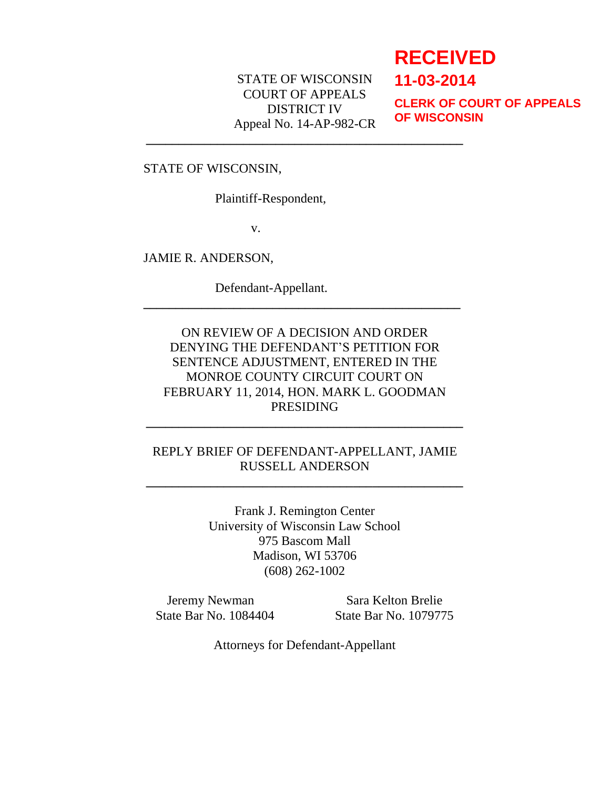## STATE OF WISCONSIN COURT OF APPEALS DISTRICT IV Appeal No. 14-AP-982-CR

**\_\_\_\_\_\_\_\_\_\_\_\_\_\_\_\_\_\_\_\_\_\_\_\_\_\_\_\_\_\_\_\_\_\_\_\_\_\_\_\_\_\_\_\_\_\_\_\_\_**

# **RECEIVED**

**11-03-2014**

**CLERK OF COURT OF APPEALS OF WISCONSIN**

STATE OF WISCONSIN,

Plaintiff-Respondent,

v.

JAMIE R. ANDERSON,

Defendant-Appellant.

# ON REVIEW OF A DECISION AND ORDER DENYING THE DEFENDANT'S PETITION FOR SENTENCE ADJUSTMENT, ENTERED IN THE MONROE COUNTY CIRCUIT COURT ON FEBRUARY 11, 2014, HON. MARK L. GOODMAN PRESIDING

**\_\_\_\_\_\_\_\_\_\_\_\_\_\_\_\_\_\_\_\_\_\_\_\_\_\_\_\_\_\_\_\_\_\_\_\_\_\_\_\_\_\_\_\_\_\_\_\_\_**

# REPLY BRIEF OF DEFENDANT-APPELLANT, JAMIE RUSSELL ANDERSON

**\_\_\_\_\_\_\_\_\_\_\_\_\_\_\_\_\_\_\_\_\_\_\_\_\_\_\_\_\_\_\_\_\_\_\_\_\_\_\_\_\_\_\_\_\_\_\_\_\_**

**\_\_\_\_\_\_\_\_\_\_\_\_\_\_\_\_\_\_\_\_\_\_\_\_\_\_\_\_\_\_\_\_\_\_\_\_\_\_\_\_\_\_\_\_\_\_\_\_\_**

Frank J. Remington Center University of Wisconsin Law School 975 Bascom Mall Madison, WI 53706 (608) 262-1002

Jeremy Newman Sara Kelton Brelie

State Bar No. 1084404 State Bar No. 1079775

Attorneys for Defendant-Appellant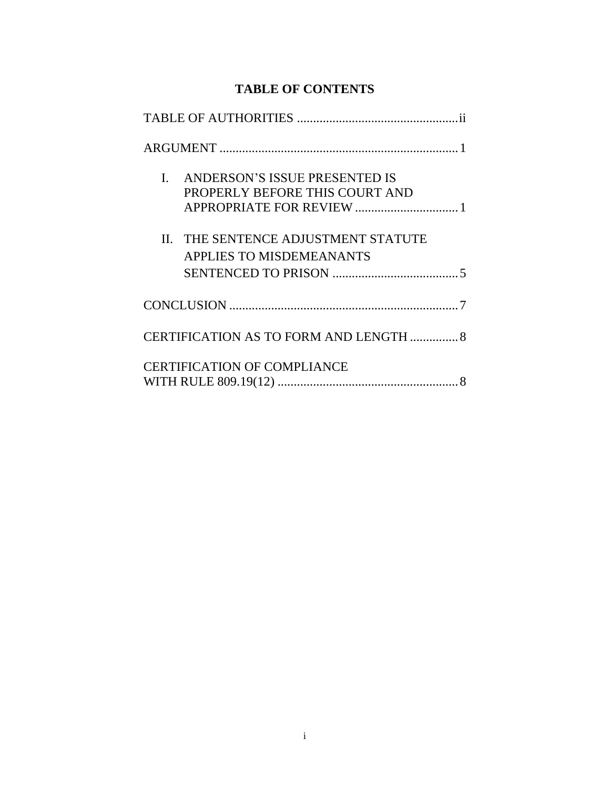# **TABLE OF CONTENTS**

| I. ANDERSON'S ISSUE PRESENTED IS<br>PROPERLY BEFORE THIS COURT AND     |  |
|------------------------------------------------------------------------|--|
| II. THE SENTENCE ADJUSTMENT STATUTE<br><b>APPLIES TO MISDEMEANANTS</b> |  |
|                                                                        |  |
| CERTIFICATION AS TO FORM AND LENGTH  8                                 |  |
| <b>CERTIFICATION OF COMPLIANCE</b>                                     |  |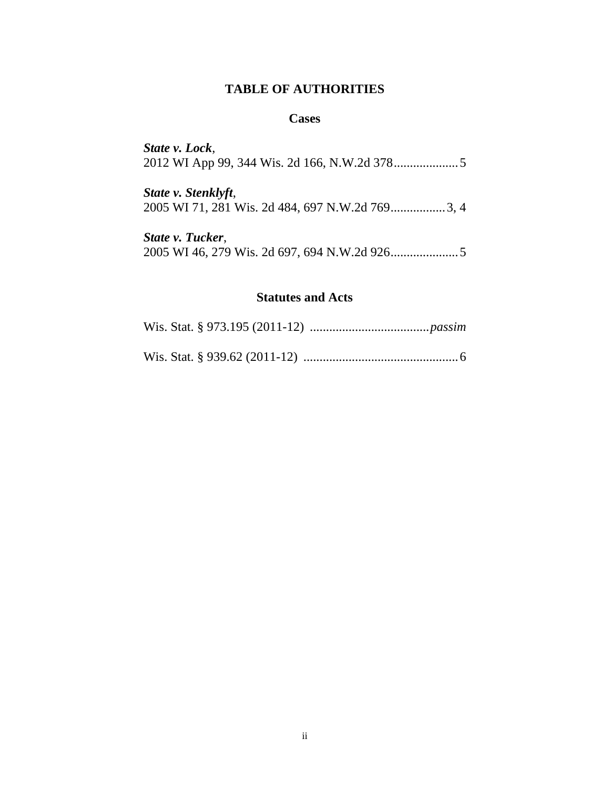### **TABLE OF AUTHORITIES**

#### **Cases**

*State v. Lock*, 2012 WI App 99, 344 Wis. 2d 166, N.W.2d 378....................5

*State v. Stenklyft*, 2005 WI 71, 281 Wis. 2d 484, 697 N.W.2d 769.................3, 4

*State v. Tucker*, 2005 WI 46, 279 Wis. 2d 697, 694 N.W.2d 926.....................5

#### **Statutes and Acts**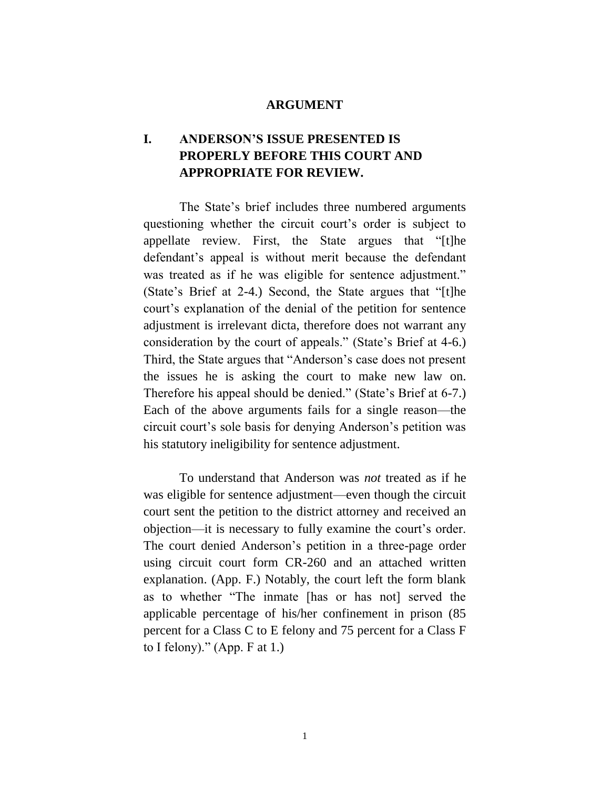#### **ARGUMENT**

# **I. ANDERSON'S ISSUE PRESENTED IS PROPERLY BEFORE THIS COURT AND APPROPRIATE FOR REVIEW.**

The State's brief includes three numbered arguments questioning whether the circuit court's order is subject to appellate review. First, the State argues that "[t]he defendant's appeal is without merit because the defendant was treated as if he was eligible for sentence adjustment." (State's Brief at 2-4.) Second, the State argues that "[t]he court's explanation of the denial of the petition for sentence adjustment is irrelevant dicta, therefore does not warrant any consideration by the court of appeals." (State's Brief at 4-6.) Third, the State argues that "Anderson's case does not present the issues he is asking the court to make new law on. Therefore his appeal should be denied." (State's Brief at 6-7.) Each of the above arguments fails for a single reason—the circuit court's sole basis for denying Anderson's petition was his statutory ineligibility for sentence adjustment.

To understand that Anderson was *not* treated as if he was eligible for sentence adjustment—even though the circuit court sent the petition to the district attorney and received an objection—it is necessary to fully examine the court's order. The court denied Anderson's petition in a three-page order using circuit court form CR-260 and an attached written explanation. (App. F.) Notably, the court left the form blank as to whether "The inmate [has or has not] served the applicable percentage of his/her confinement in prison (85 percent for a Class C to E felony and 75 percent for a Class F to I felony)." (App. F at  $1$ .)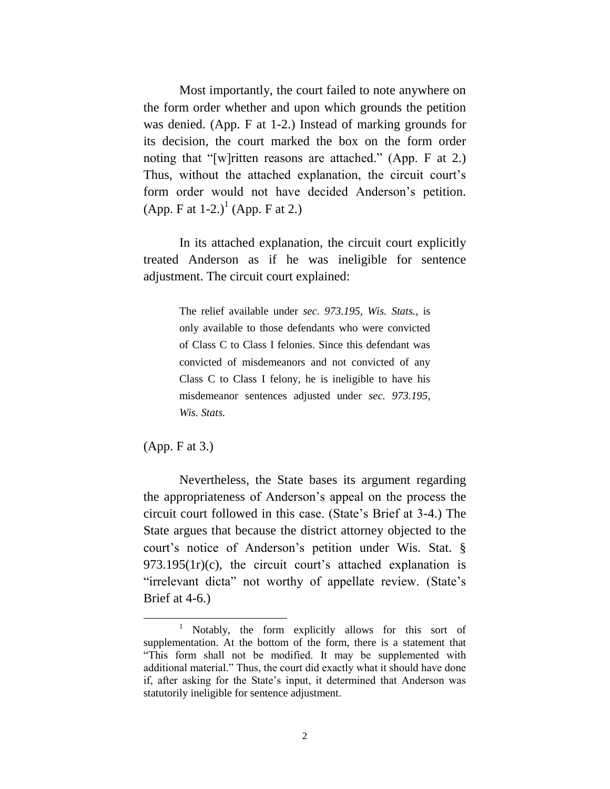Most importantly, the court failed to note anywhere on the form order whether and upon which grounds the petition was denied. (App. F at 1-2.) Instead of marking grounds for its decision, the court marked the box on the form order noting that "[w]ritten reasons are attached." (App. F at 2.) Thus, without the attached explanation, the circuit court's form order would not have decided Anderson's petition. (App. F at 1-2.)<sup>1</sup> (App. F at 2.)

In its attached explanation, the circuit court explicitly treated Anderson as if he was ineligible for sentence adjustment. The circuit court explained:

> The relief available under *sec. 973.195, Wis. Stats.,* is only available to those defendants who were convicted of Class C to Class I felonies. Since this defendant was convicted of misdemeanors and not convicted of any Class C to Class I felony, he is ineligible to have his misdemeanor sentences adjusted under *sec. 973.195, Wis. Stats.*

(App. F at 3.)

 $\overline{a}$ 

Nevertheless, the State bases its argument regarding the appropriateness of Anderson's appeal on the process the circuit court followed in this case. (State's Brief at 3-4.) The State argues that because the district attorney objected to the court's notice of Anderson's petition under Wis. Stat. § 973.195(1r)(c), the circuit court's attached explanation is "irrelevant dicta" not worthy of appellate review. (State's Brief at 4-6.)

<sup>1</sup> Notably, the form explicitly allows for this sort of supplementation. At the bottom of the form, there is a statement that "This form shall not be modified. It may be supplemented with additional material." Thus, the court did exactly what it should have done if, after asking for the State's input, it determined that Anderson was statutorily ineligible for sentence adjustment.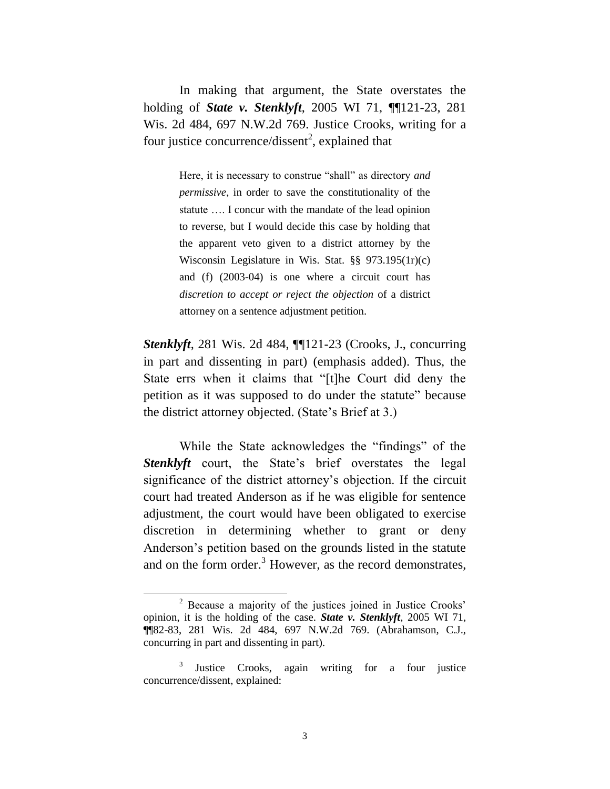In making that argument, the State overstates the holding of *State v. Stenklyft*, 2005 WI 71, ¶¶121-23, 281 Wis. 2d 484, 697 N.W.2d 769. Justice Crooks, writing for a four justice concurrence/dissent<sup>2</sup>, explained that

> Here, it is necessary to construe "shall" as directory *and permissive*, in order to save the constitutionality of the statute …. I concur with the mandate of the lead opinion to reverse, but I would decide this case by holding that the apparent veto given to a district attorney by the Wisconsin Legislature in Wis. Stat. §§ 973.195(1r)(c) and (f) (2003-04) is one where a circuit court has *discretion to accept or reject the objection* of a district attorney on a sentence adjustment petition.

*Stenklyft*, 281 Wis. 2d 484, ¶¶121-23 (Crooks, J., concurring in part and dissenting in part) (emphasis added). Thus, the State errs when it claims that "[t]he Court did deny the petition as it was supposed to do under the statute" because the district attorney objected. (State's Brief at 3.)

While the State acknowledges the "findings" of the **Stenklyft** court, the State's brief overstates the legal significance of the district attorney's objection. If the circuit court had treated Anderson as if he was eligible for sentence adjustment, the court would have been obligated to exercise discretion in determining whether to grant or deny Anderson's petition based on the grounds listed in the statute and on the form order.<sup>3</sup> However, as the record demonstrates,

 $\overline{a}$ 

<sup>2</sup> Because a majority of the justices joined in Justice Crooks' opinion, it is the holding of the case. *State v. Stenklyft*, 2005 WI 71, ¶¶82-83, 281 Wis. 2d 484, 697 N.W.2d 769. (Abrahamson, C.J., concurring in part and dissenting in part).

<sup>3</sup> Justice Crooks, again writing for a four justice concurrence/dissent, explained: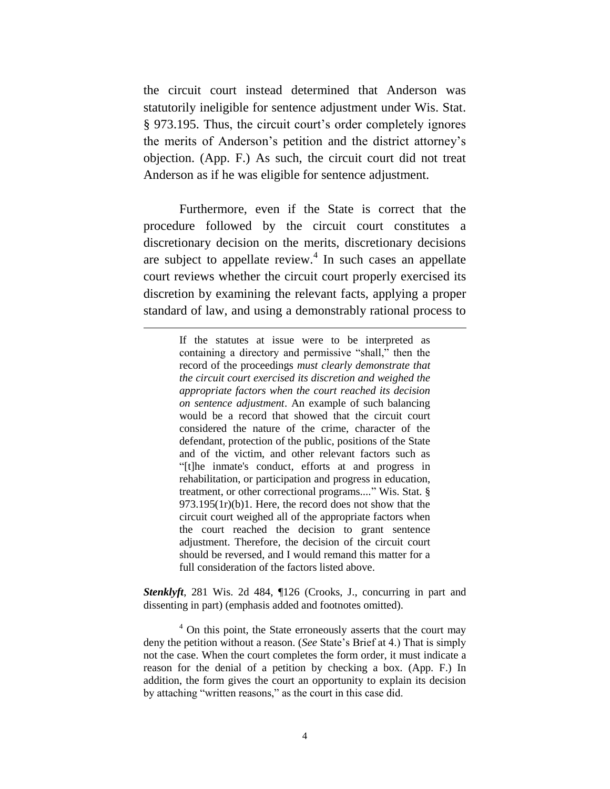the circuit court instead determined that Anderson was statutorily ineligible for sentence adjustment under Wis. Stat. § 973.195. Thus, the circuit court's order completely ignores the merits of Anderson's petition and the district attorney's objection. (App. F.) As such, the circuit court did not treat Anderson as if he was eligible for sentence adjustment.

Furthermore, even if the State is correct that the procedure followed by the circuit court constitutes a discretionary decision on the merits, discretionary decisions are subject to appellate review. $4$  In such cases an appellate court reviews whether the circuit court properly exercised its discretion by examining the relevant facts, applying a proper standard of law, and using a demonstrably rational process to

 $\overline{a}$ 

If the statutes at issue were to be interpreted as containing a directory and permissive "shall," then the record of the proceedings *must clearly demonstrate that the circuit court exercised its discretion and weighed the appropriate factors when the court reached its decision on sentence adjustment*. An example of such balancing would be a record that showed that the circuit court considered the nature of the crime, character of the defendant, protection of the public, positions of the State and of the victim, and other relevant factors such as "[t]he inmate's conduct, efforts at and progress in rehabilitation, or participation and progress in education, treatment, or other correctional programs...." Wis. Stat. § 973.195(1r)(b)1. Here, the record does not show that the circuit court weighed all of the appropriate factors when the court reached the decision to grant sentence adjustment. Therefore, the decision of the circuit court should be reversed, and I would remand this matter for a full consideration of the factors listed above.

*Stenklyft*, 281 Wis. 2d 484, ¶126 (Crooks, J., concurring in part and dissenting in part) (emphasis added and footnotes omitted).

 $4$  On this point, the State erroneously asserts that the court may deny the petition without a reason. (*See* State's Brief at 4.) That is simply not the case. When the court completes the form order, it must indicate a reason for the denial of a petition by checking a box. (App. F.) In addition, the form gives the court an opportunity to explain its decision by attaching "written reasons," as the court in this case did.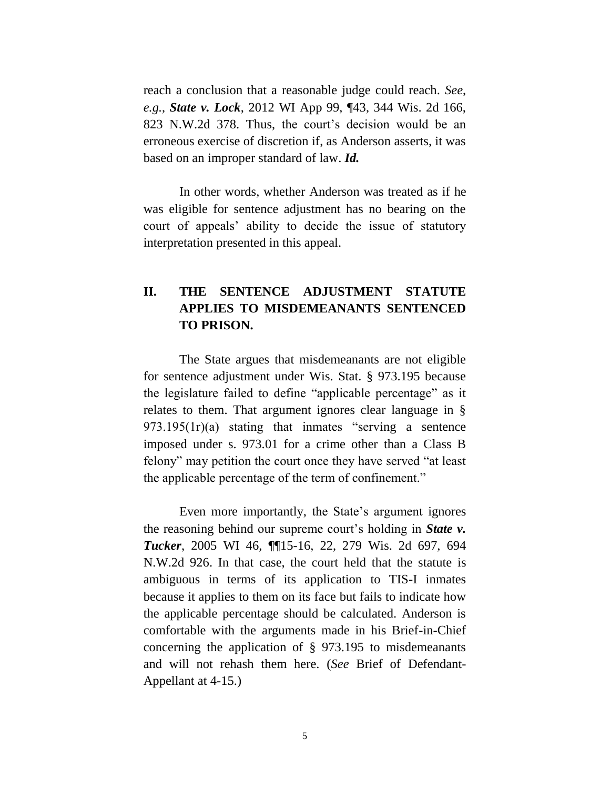reach a conclusion that a reasonable judge could reach. *See*, *e.g.*, *State v. Lock*, 2012 WI App 99, ¶43, 344 Wis. 2d 166, 823 N.W.2d 378. Thus, the court's decision would be an erroneous exercise of discretion if, as Anderson asserts, it was based on an improper standard of law. *Id.* 

In other words, whether Anderson was treated as if he was eligible for sentence adjustment has no bearing on the court of appeals' ability to decide the issue of statutory interpretation presented in this appeal.

# **II. THE SENTENCE ADJUSTMENT STATUTE APPLIES TO MISDEMEANANTS SENTENCED TO PRISON.**

The State argues that misdemeanants are not eligible for sentence adjustment under Wis. Stat. § 973.195 because the legislature failed to define "applicable percentage" as it relates to them. That argument ignores clear language in § 973.195(1r)(a) stating that inmates "serving a sentence imposed under s. 973.01 for a crime other than a Class B felony" may petition the court once they have served "at least the applicable percentage of the term of confinement."

Even more importantly, the State's argument ignores the reasoning behind our supreme court's holding in *State v. Tucker*, 2005 WI 46, ¶¶15-16, 22, 279 Wis. 2d 697, 694 N.W.2d 926. In that case, the court held that the statute is ambiguous in terms of its application to TIS-I inmates because it applies to them on its face but fails to indicate how the applicable percentage should be calculated. Anderson is comfortable with the arguments made in his Brief-in-Chief concerning the application of § 973.195 to misdemeanants and will not rehash them here. (*See* Brief of Defendant-Appellant at 4-15.)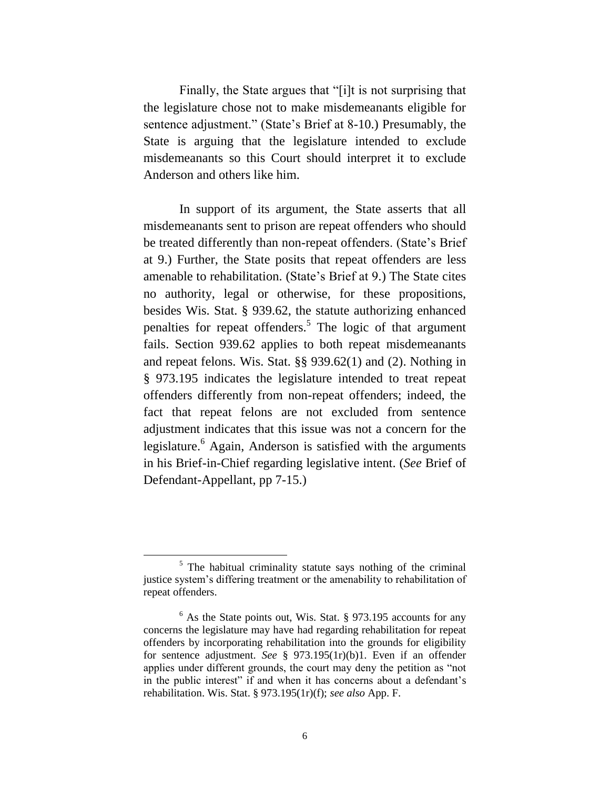Finally, the State argues that "[i]t is not surprising that the legislature chose not to make misdemeanants eligible for sentence adjustment." (State's Brief at 8-10.) Presumably, the State is arguing that the legislature intended to exclude misdemeanants so this Court should interpret it to exclude Anderson and others like him.

In support of its argument, the State asserts that all misdemeanants sent to prison are repeat offenders who should be treated differently than non-repeat offenders. (State's Brief at 9.) Further, the State posits that repeat offenders are less amenable to rehabilitation. (State's Brief at 9.) The State cites no authority, legal or otherwise, for these propositions, besides Wis. Stat. § 939.62, the statute authorizing enhanced penalties for repeat offenders.<sup>5</sup> The logic of that argument fails. Section 939.62 applies to both repeat misdemeanants and repeat felons. Wis. Stat. §§ 939.62(1) and (2). Nothing in § 973.195 indicates the legislature intended to treat repeat offenders differently from non-repeat offenders; indeed, the fact that repeat felons are not excluded from sentence adjustment indicates that this issue was not a concern for the legislature.<sup>6</sup> Again, Anderson is satisfied with the arguments in his Brief-in-Chief regarding legislative intent. (*See* Brief of Defendant-Appellant, pp 7-15.)

 $\overline{a}$ 

 $<sup>5</sup>$  The habitual criminality statute says nothing of the criminal</sup> justice system's differing treatment or the amenability to rehabilitation of repeat offenders.

 $6$  As the State points out, Wis. Stat. § 973.195 accounts for any concerns the legislature may have had regarding rehabilitation for repeat offenders by incorporating rehabilitation into the grounds for eligibility for sentence adjustment. *See* § 973.195(1r)(b)1. Even if an offender applies under different grounds, the court may deny the petition as "not in the public interest" if and when it has concerns about a defendant's rehabilitation. Wis. Stat. § 973.195(1r)(f); *see also* App. F.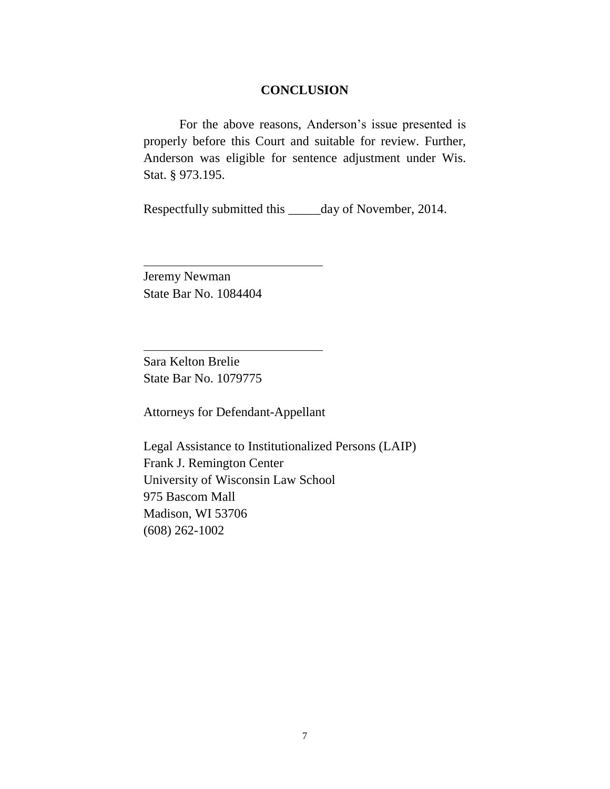#### **CONCLUSION**

For the above reasons, Anderson's issue presented is properly before this Court and suitable for review. Further, Anderson was eligible for sentence adjustment under Wis. Stat. § 973.195.

Respectfully submitted this \_\_\_\_\_day of November, 2014.

Jeremy Newman State Bar No. 1084404

Sara Kelton Brelie State Bar No. 1079775

Attorneys for Defendant-Appellant

Legal Assistance to Institutionalized Persons (LAIP) Frank J. Remington Center University of Wisconsin Law School 975 Bascom Mall Madison, WI 53706 (608) 262-1002